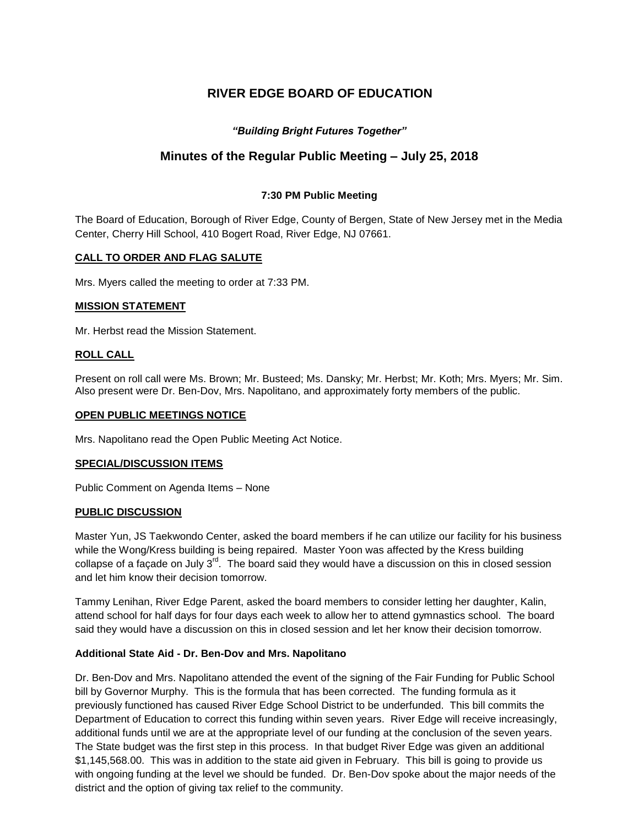# **RIVER EDGE BOARD OF EDUCATION**

# *"Building Bright Futures Together"*

# **Minutes of the Regular Public Meeting – July 25, 2018**

# **7:30 PM Public Meeting**

The Board of Education, Borough of River Edge, County of Bergen, State of New Jersey met in the Media Center, Cherry Hill School, 410 Bogert Road, River Edge, NJ 07661.

# **CALL TO ORDER AND FLAG SALUTE**

Mrs. Myers called the meeting to order at 7:33 PM.

## **MISSION STATEMENT**

Mr. Herbst read the Mission Statement.

## **ROLL CALL**

Present on roll call were Ms. Brown; Mr. Busteed; Ms. Dansky; Mr. Herbst; Mr. Koth; Mrs. Myers; Mr. Sim. Also present were Dr. Ben-Dov, Mrs. Napolitano, and approximately forty members of the public.

### **OPEN PUBLIC MEETINGS NOTICE**

Mrs. Napolitano read the Open Public Meeting Act Notice.

### **SPECIAL/DISCUSSION ITEMS**

Public Comment on Agenda Items – None

### **PUBLIC DISCUSSION**

Master Yun, JS Taekwondo Center, asked the board members if he can utilize our facility for his business while the Wong/Kress building is being repaired. Master Yoon was affected by the Kress building collapse of a facade on July  $3<sup>rd</sup>$ . The board said they would have a discussion on this in closed session and let him know their decision tomorrow.

Tammy Lenihan, River Edge Parent, asked the board members to consider letting her daughter, Kalin, attend school for half days for four days each week to allow her to attend gymnastics school. The board said they would have a discussion on this in closed session and let her know their decision tomorrow.

# **Additional State Aid - Dr. Ben-Dov and Mrs. Napolitano**

Dr. Ben-Dov and Mrs. Napolitano attended the event of the signing of the Fair Funding for Public School bill by Governor Murphy. This is the formula that has been corrected. The funding formula as it previously functioned has caused River Edge School District to be underfunded. This bill commits the Department of Education to correct this funding within seven years. River Edge will receive increasingly, additional funds until we are at the appropriate level of our funding at the conclusion of the seven years. The State budget was the first step in this process. In that budget River Edge was given an additional \$1,145,568.00. This was in addition to the state aid given in February. This bill is going to provide us with ongoing funding at the level we should be funded. Dr. Ben-Dov spoke about the major needs of the district and the option of giving tax relief to the community.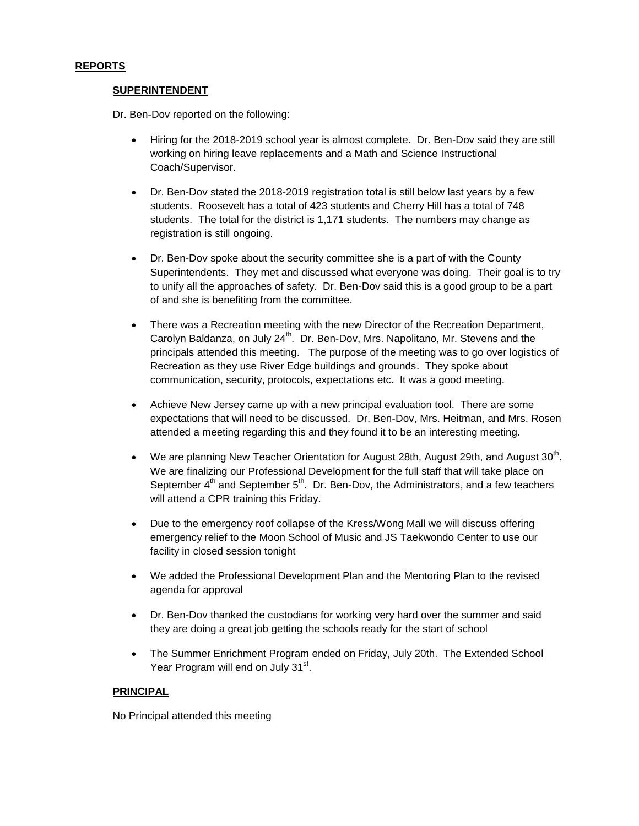## **REPORTS**

### **SUPERINTENDENT**

Dr. Ben-Dov reported on the following:

- Hiring for the 2018-2019 school year is almost complete. Dr. Ben-Dov said they are still working on hiring leave replacements and a Math and Science Instructional Coach/Supervisor.
- Dr. Ben-Dov stated the 2018-2019 registration total is still below last years by a few students. Roosevelt has a total of 423 students and Cherry Hill has a total of 748 students. The total for the district is 1,171 students. The numbers may change as registration is still ongoing.
- Dr. Ben-Dov spoke about the security committee she is a part of with the County Superintendents. They met and discussed what everyone was doing. Their goal is to try to unify all the approaches of safety. Dr. Ben-Dov said this is a good group to be a part of and she is benefiting from the committee.
- There was a Recreation meeting with the new Director of the Recreation Department, Carolyn Baldanza, on July 24<sup>th</sup>. Dr. Ben-Dov, Mrs. Napolitano, Mr. Stevens and the principals attended this meeting. The purpose of the meeting was to go over logistics of Recreation as they use River Edge buildings and grounds. They spoke about communication, security, protocols, expectations etc. It was a good meeting.
- Achieve New Jersey came up with a new principal evaluation tool. There are some expectations that will need to be discussed. Dr. Ben-Dov, Mrs. Heitman, and Mrs. Rosen attended a meeting regarding this and they found it to be an interesting meeting.
- We are planning New Teacher Orientation for August 28th, August 29th, and August  $30<sup>th</sup>$ . We are finalizing our Professional Development for the full staff that will take place on September  $4^{\text{th}}$  and September  $5^{\text{th}}$ . Dr. Ben-Dov, the Administrators, and a few teachers will attend a CPR training this Friday.
- Due to the emergency roof collapse of the Kress/Wong Mall we will discuss offering emergency relief to the Moon School of Music and JS Taekwondo Center to use our facility in closed session tonight
- We added the Professional Development Plan and the Mentoring Plan to the revised agenda for approval
- Dr. Ben-Dov thanked the custodians for working very hard over the summer and said they are doing a great job getting the schools ready for the start of school
- The Summer Enrichment Program ended on Friday, July 20th. The Extended School Year Program will end on July 31<sup>st</sup>.

# **PRINCIPAL**

No Principal attended this meeting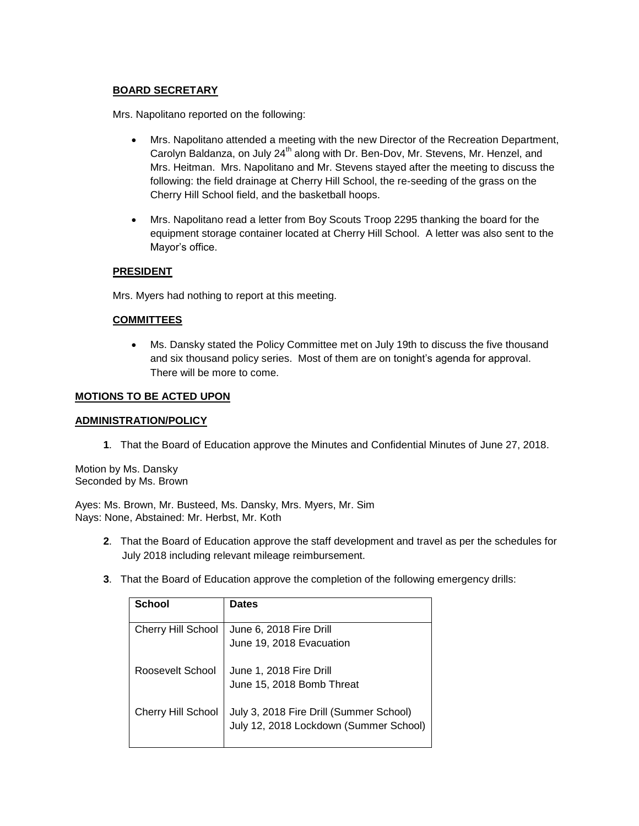# **BOARD SECRETARY**

Mrs. Napolitano reported on the following:

- Mrs. Napolitano attended a meeting with the new Director of the Recreation Department, Carolyn Baldanza, on July 24<sup>th</sup> along with Dr. Ben-Dov, Mr. Stevens, Mr. Henzel, and Mrs. Heitman. Mrs. Napolitano and Mr. Stevens stayed after the meeting to discuss the following: the field drainage at Cherry Hill School, the re-seeding of the grass on the Cherry Hill School field, and the basketball hoops.
- Mrs. Napolitano read a letter from Boy Scouts Troop 2295 thanking the board for the equipment storage container located at Cherry Hill School. A letter was also sent to the Mayor's office.

# **PRESIDENT**

Mrs. Myers had nothing to report at this meeting.

## **COMMITTEES**

 Ms. Dansky stated the Policy Committee met on July 19th to discuss the five thousand and six thousand policy series. Most of them are on tonight's agenda for approval. There will be more to come.

## **MOTIONS TO BE ACTED UPON**

### **ADMINISTRATION/POLICY**

**1**. That the Board of Education approve the Minutes and Confidential Minutes of June 27, 2018.

Motion by Ms. Dansky Seconded by Ms. Brown

Ayes: Ms. Brown, Mr. Busteed, Ms. Dansky, Mrs. Myers, Mr. Sim Nays: None, Abstained: Mr. Herbst, Mr. Koth

- **2**. That the Board of Education approve the staff development and travel as per the schedules for July 2018 including relevant mileage reimbursement.
- **3**. That the Board of Education approve the completion of the following emergency drills:

| <b>School</b>             | <b>Dates</b>                                                                      |
|---------------------------|-----------------------------------------------------------------------------------|
|                           |                                                                                   |
| Cherry Hill School        | June 6, 2018 Fire Drill                                                           |
|                           | June 19, 2018 Evacuation                                                          |
| Roosevelt School          | June 1, 2018 Fire Drill                                                           |
|                           | June 15, 2018 Bomb Threat                                                         |
| <b>Cherry Hill School</b> | July 3, 2018 Fire Drill (Summer School)<br>July 12, 2018 Lockdown (Summer School) |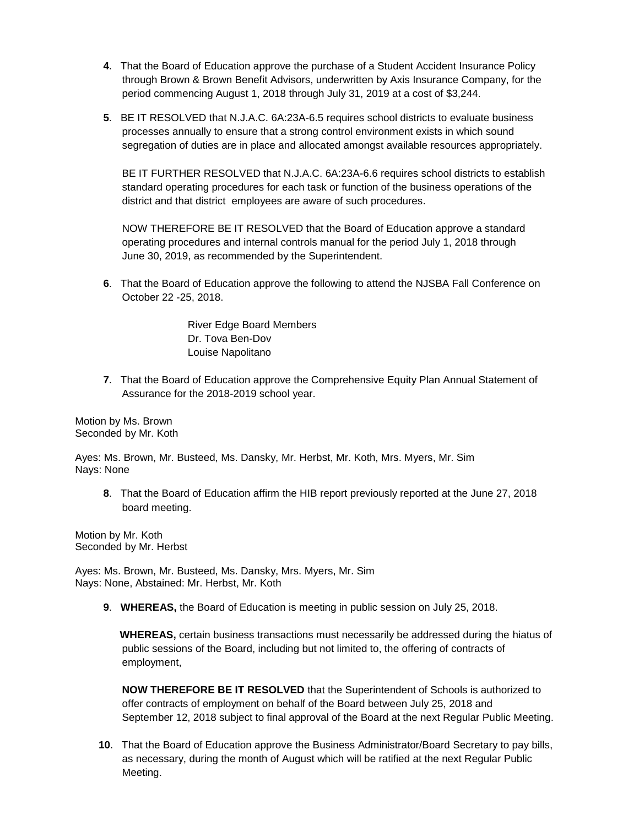- **4**. That the Board of Education approve the purchase of a Student Accident Insurance Policy through Brown & Brown Benefit Advisors, underwritten by Axis Insurance Company, for the period commencing August 1, 2018 through July 31, 2019 at a cost of \$3,244.
- **5**. BE IT RESOLVED that N.J.A.C. 6A:23A-6.5 requires school districts to evaluate business processes annually to ensure that a strong control environment exists in which sound segregation of duties are in place and allocated amongst available resources appropriately.

BE IT FURTHER RESOLVED that N.J.A.C. 6A:23A-6.6 requires school districts to establish standard operating procedures for each task or function of the business operations of the district and that district employees are aware of such procedures.

NOW THEREFORE BE IT RESOLVED that the Board of Education approve a standard operating procedures and internal controls manual for the period July 1, 2018 through June 30, 2019, as recommended by the Superintendent.

**6**. That the Board of Education approve the following to attend the NJSBA Fall Conference on October 22 -25, 2018.

> River Edge Board Members Dr. Tova Ben-Dov Louise Napolitano

**7**. That the Board of Education approve the Comprehensive Equity Plan Annual Statement of Assurance for the 2018-2019 school year.

Motion by Ms. Brown Seconded by Mr. Koth

Ayes: Ms. Brown, Mr. Busteed, Ms. Dansky, Mr. Herbst, Mr. Koth, Mrs. Myers, Mr. Sim Nays: None

**8**. That the Board of Education affirm the HIB report previously reported at the June 27, 2018 board meeting.

Motion by Mr. Koth Seconded by Mr. Herbst

Ayes: Ms. Brown, Mr. Busteed, Ms. Dansky, Mrs. Myers, Mr. Sim Nays: None, Abstained: Mr. Herbst, Mr. Koth

**9**. **WHEREAS,** the Board of Education is meeting in public session on July 25, 2018.

 **WHEREAS,** certain business transactions must necessarily be addressed during the hiatus of public sessions of the Board, including but not limited to, the offering of contracts of employment,

**NOW THEREFORE BE IT RESOLVED** that the Superintendent of Schools is authorized to offer contracts of employment on behalf of the Board between July 25, 2018 and September 12, 2018 subject to final approval of the Board at the next Regular Public Meeting.

**10**. That the Board of Education approve the Business Administrator/Board Secretary to pay bills, as necessary, during the month of August which will be ratified at the next Regular Public Meeting.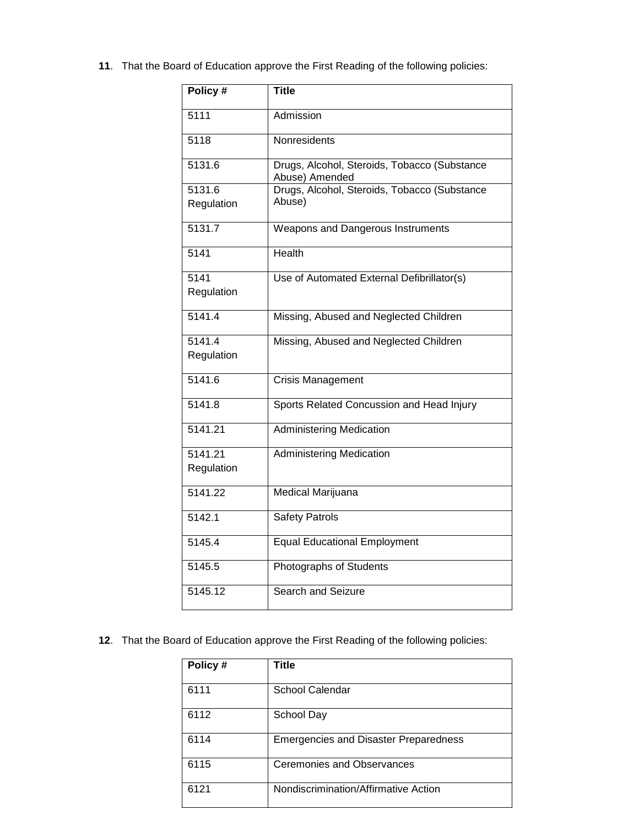**11**. That the Board of Education approve the First Reading of the following policies:

| Policy #   | Title                                                          |
|------------|----------------------------------------------------------------|
| 5111       | Admission                                                      |
| 5118       | Nonresidents                                                   |
| 5131.6     | Drugs, Alcohol, Steroids, Tobacco (Substance<br>Abuse) Amended |
| 5131.6     | Drugs, Alcohol, Steroids, Tobacco (Substance                   |
| Regulation | Abuse)                                                         |
| 5131.7     | Weapons and Dangerous Instruments                              |
| 5141       | <b>Health</b>                                                  |
| 5141       | Use of Automated External Defibrillator(s)                     |
| Regulation |                                                                |
| 5141.4     | Missing, Abused and Neglected Children                         |
| 5141.4     | Missing, Abused and Neglected Children                         |
| Regulation |                                                                |
| 5141.6     | <b>Crisis Management</b>                                       |
| 5141.8     | Sports Related Concussion and Head Injury                      |
| 5141.21    | <b>Administering Medication</b>                                |
| 5141.21    | <b>Administering Medication</b>                                |
| Regulation |                                                                |
| 5141.22    | Medical Marijuana                                              |
| 5142.1     | <b>Safety Patrols</b>                                          |
| 5145.4     | <b>Equal Educational Employment</b>                            |
| 5145.5     | Photographs of Students                                        |
| 5145.12    | Search and Seizure                                             |

**12**. That the Board of Education approve the First Reading of the following policies:

| Policy # | <b>Title</b>                                 |
|----------|----------------------------------------------|
| 6111     | School Calendar                              |
| 6112     | School Day                                   |
| 6114     | <b>Emergencies and Disaster Preparedness</b> |
| 6115     | <b>Ceremonies and Observances</b>            |
| 6121     | Nondiscrimination/Affirmative Action         |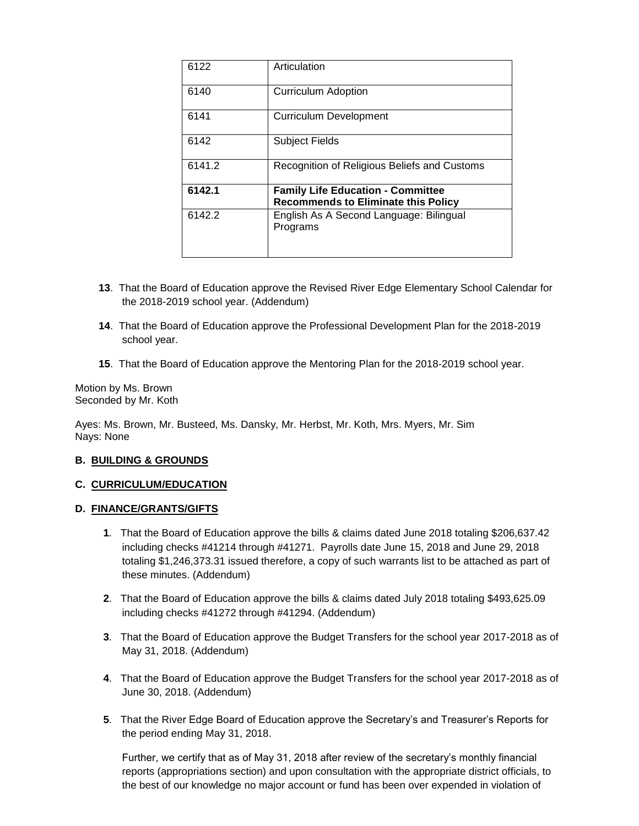| 6122   | Articulation                                                                           |
|--------|----------------------------------------------------------------------------------------|
| 6140   | <b>Curriculum Adoption</b>                                                             |
| 6141   | <b>Curriculum Development</b>                                                          |
| 6142   | <b>Subject Fields</b>                                                                  |
| 6141.2 | Recognition of Religious Beliefs and Customs                                           |
| 6142.1 | <b>Family Life Education - Committee</b><br><b>Recommends to Eliminate this Policy</b> |
| 6142.2 | English As A Second Language: Bilingual<br>Programs                                    |

- **13**. That the Board of Education approve the Revised River Edge Elementary School Calendar for the 2018-2019 school year. (Addendum)
- **14**. That the Board of Education approve the Professional Development Plan for the 2018-2019 school year.
- **15**. That the Board of Education approve the Mentoring Plan for the 2018-2019 school year.

Motion by Ms. Brown Seconded by Mr. Koth

Ayes: Ms. Brown, Mr. Busteed, Ms. Dansky, Mr. Herbst, Mr. Koth, Mrs. Myers, Mr. Sim Nays: None

### **B. BUILDING & GROUNDS**

### **C. CURRICULUM/EDUCATION**

### **D. FINANCE/GRANTS/GIFTS**

- **1**. That the Board of Education approve the bills & claims dated June 2018 totaling \$206,637.42 including checks #41214 through #41271. Payrolls date June 15, 2018 and June 29, 2018 totaling \$1,246,373.31 issued therefore, a copy of such warrants list to be attached as part of these minutes. (Addendum)
- **2**. That the Board of Education approve the bills & claims dated July 2018 totaling \$493,625.09 including checks #41272 through #41294. (Addendum)
- **3**. That the Board of Education approve the Budget Transfers for the school year 2017-2018 as of May 31, 2018. (Addendum)
- **4**. That the Board of Education approve the Budget Transfers for the school year 2017-2018 as of June 30, 2018. (Addendum)
- **5**. That the River Edge Board of Education approve the Secretary's and Treasurer's Reports for the period ending May 31, 2018.

Further, we certify that as of May 31, 2018 after review of the secretary's monthly financial reports (appropriations section) and upon consultation with the appropriate district officials, to the best of our knowledge no major account or fund has been over expended in violation of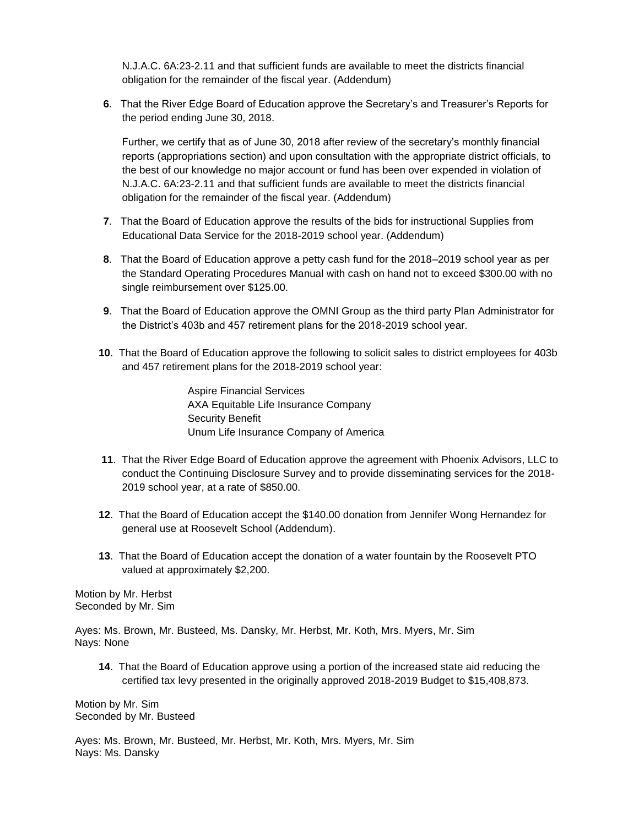N.J.A.C. 6A:23-2.11 and that sufficient funds are available to meet the districts financial obligation for the remainder of the fiscal year. (Addendum)

**6**. That the River Edge Board of Education approve the Secretary's and Treasurer's Reports for the period ending June 30, 2018.

Further, we certify that as of June 30, 2018 after review of the secretary's monthly financial reports (appropriations section) and upon consultation with the appropriate district officials, to the best of our knowledge no major account or fund has been over expended in violation of N.J.A.C. 6A:23-2.11 and that sufficient funds are available to meet the districts financial obligation for the remainder of the fiscal year. (Addendum)

- **7**. That the Board of Education approve the results of the bids for instructional Supplies from Educational Data Service for the 2018-2019 school year. (Addendum)
- **8**. That the Board of Education approve a petty cash fund for the 2018–2019 school year as per the Standard Operating Procedures Manual with cash on hand not to exceed \$300.00 with no single reimbursement over \$125.00.
- **9**. That the Board of Education approve the OMNI Group as the third party Plan Administrator for the District's 403b and 457 retirement plans for the 2018-2019 school year.
- **10**. That the Board of Education approve the following to solicit sales to district employees for 403b and 457 retirement plans for the 2018-2019 school year:

Aspire Financial Services AXA Equitable Life Insurance Company Security Benefit Unum Life Insurance Company of America

- **11**. That the River Edge Board of Education approve the agreement with Phoenix Advisors, LLC to conduct the Continuing Disclosure Survey and to provide disseminating services for the 2018- 2019 school year, at a rate of \$850.00.
- **12**. That the Board of Education accept the \$140.00 donation from Jennifer Wong Hernandez for general use at Roosevelt School (Addendum).
- **13**. That the Board of Education accept the donation of a water fountain by the Roosevelt PTO valued at approximately \$2,200.

Motion by Mr. Herbst Seconded by Mr. Sim

Ayes: Ms. Brown, Mr. Busteed, Ms. Dansky, Mr. Herbst, Mr. Koth, Mrs. Myers, Mr. Sim Nays: None

**14**. That the Board of Education approve using a portion of the increased state aid reducing the certified tax levy presented in the originally approved 2018-2019 Budget to \$15,408,873.

Motion by Mr. Sim Seconded by Mr. Busteed

Ayes: Ms. Brown, Mr. Busteed, Mr. Herbst, Mr. Koth, Mrs. Myers, Mr. Sim Nays: Ms. Dansky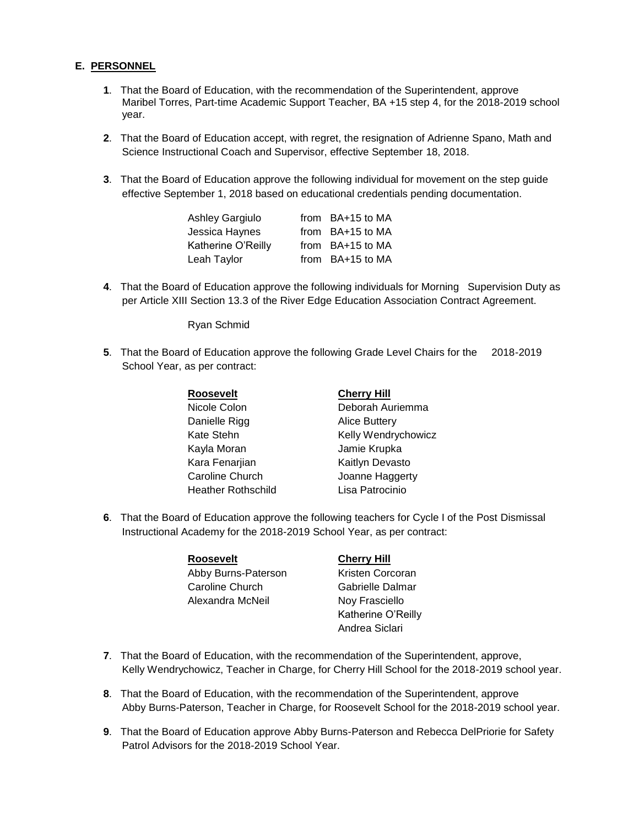## **E. PERSONNEL**

- **1**. That the Board of Education, with the recommendation of the Superintendent, approve Maribel Torres, Part-time Academic Support Teacher, BA +15 step 4, for the 2018-2019 school year.
- **2**. That the Board of Education accept, with regret, the resignation of Adrienne Spano, Math and Science Instructional Coach and Supervisor, effective September 18, 2018.
- **3**. That the Board of Education approve the following individual for movement on the step guide effective September 1, 2018 based on educational credentials pending documentation.

| <b>Ashley Gargiulo</b> | from BA+15 to MA |
|------------------------|------------------|
| Jessica Haynes         | from BA+15 to MA |
| Katherine O'Reilly     | from BA+15 to MA |
| Leah Taylor            | from BA+15 to MA |

**4**. That the Board of Education approve the following individuals for Morning Supervision Duty as per Article XIII Section 13.3 of the River Edge Education Association Contract Agreement.

Ryan Schmid

**5**. That the Board of Education approve the following Grade Level Chairs for the 2018-2019 School Year, as per contract:

| Roosevelt                 | <b>Cherry Hill</b>   |
|---------------------------|----------------------|
| Nicole Colon              | Deborah Auriemma     |
| Danielle Rigg             | <b>Alice Buttery</b> |
| Kate Stehn                | Kelly Wendrychowicz  |
| Kayla Moran               | Jamie Krupka         |
| Kara Fenarjian            | Kaitlyn Devasto      |
| <b>Caroline Church</b>    | Joanne Haggerty      |
| <b>Heather Rothschild</b> | Lisa Patrocinio      |

**6**. That the Board of Education approve the following teachers for Cycle I of the Post Dismissal Instructional Academy for the 2018-2019 School Year, as per contract:

| <b>Roosevelt</b>    |
|---------------------|
| Abby Burns-Paterson |
| Caroline Church     |
| Alexandra McNeil    |
|                     |

## **Cherry Hill**

Kristen Corcoran Gabrielle Dalmar Noy Frasciello Katherine O'Reilly Andrea Siclari

- **7**. That the Board of Education, with the recommendation of the Superintendent, approve, Kelly Wendrychowicz, Teacher in Charge, for Cherry Hill School for the 2018-2019 school year.
- **8**. That the Board of Education, with the recommendation of the Superintendent, approve Abby Burns-Paterson, Teacher in Charge, for Roosevelt School for the 2018-2019 school year.
- **9**. That the Board of Education approve Abby Burns-Paterson and Rebecca DelPriorie for Safety Patrol Advisors for the 2018-2019 School Year.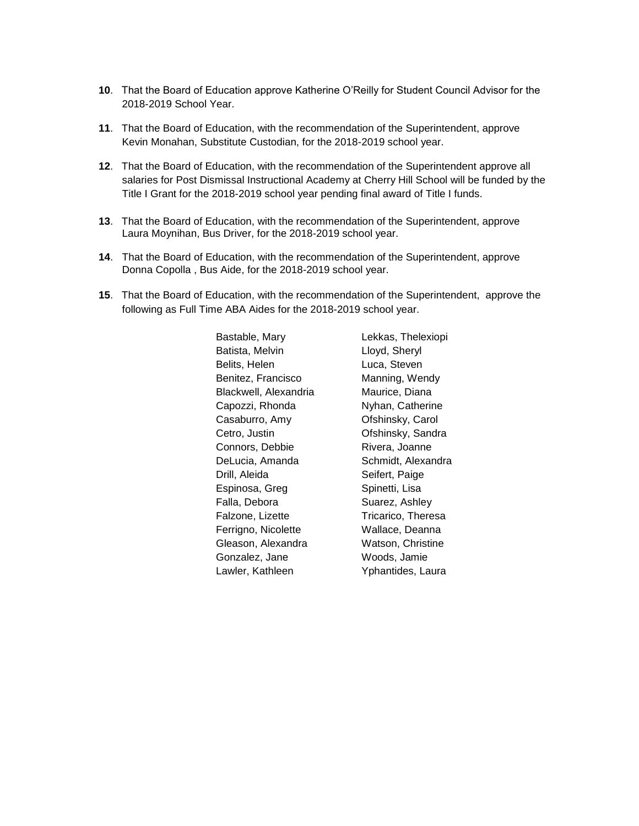- **10**. That the Board of Education approve Katherine O'Reilly for Student Council Advisor for the 2018-2019 School Year.
- **11**. That the Board of Education, with the recommendation of the Superintendent, approve Kevin Monahan, Substitute Custodian, for the 2018-2019 school year.
- **12**. That the Board of Education, with the recommendation of the Superintendent approve all salaries for Post Dismissal Instructional Academy at Cherry Hill School will be funded by the Title I Grant for the 2018-2019 school year pending final award of Title I funds.
- **13**. That the Board of Education, with the recommendation of the Superintendent, approve Laura Moynihan, Bus Driver, for the 2018-2019 school year.
- **14**. That the Board of Education, with the recommendation of the Superintendent, approve Donna Copolla , Bus Aide, for the 2018-2019 school year.
- **15**. That the Board of Education, with the recommendation of the Superintendent, approve the following as Full Time ABA Aides for the 2018-2019 school year.

Bastable, Mary Batista, Melvin Belits, Helen Benitez, Francisco Blackwell, Alexandria Capozzi, Rhonda Casaburro, Amy Cetro, Justin Connors, Debbie DeLucia, Amanda Drill, Aleida Espinosa, Greg Falla, Debora Falzone, Lizette Ferrigno, Nicolette Gleason, Alexandra Gonzalez, Jane Lawler, Kathleen

Lekkas, Thelexiopi Lloyd, Sheryl Luca, Steven Manning, Wendy Maurice, Diana Nyhan, Catherine Ofshinsky, Carol Ofshinsky, Sandra Rivera, Joanne Schmidt, Alexandra Seifert, Paige Spinetti, Lisa Suarez, Ashley Tricarico, Theresa Wallace, Deanna Watson, Christine Woods, Jamie Yphantides, Laura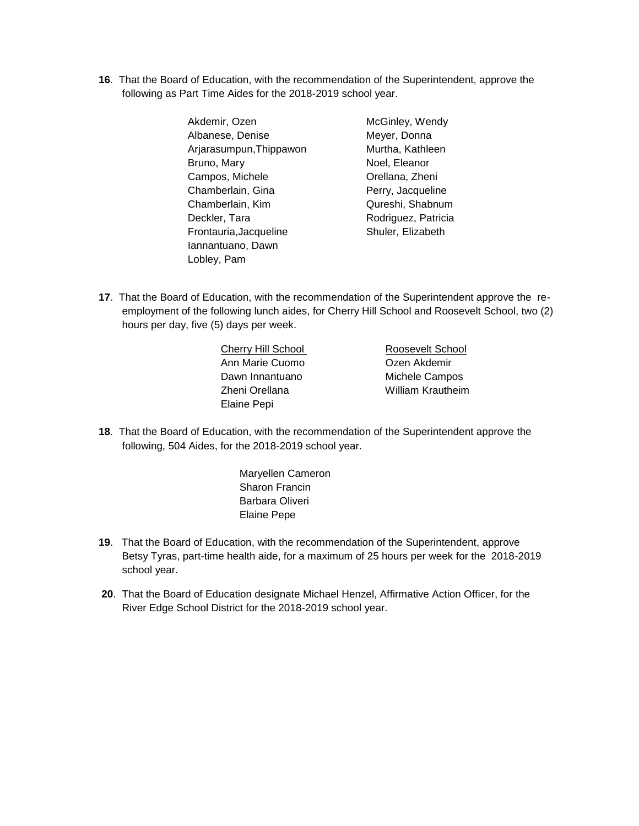**16**. That the Board of Education, with the recommendation of the Superintendent, approve the following as Part Time Aides for the 2018-2019 school year.

| Akdemir, Ozen           | McGinley, Wendy     |
|-------------------------|---------------------|
| Albanese, Denise        | Meyer, Donna        |
| Arjarasumpun, Thippawon | Murtha, Kathleen    |
| Bruno, Mary             | Noel, Eleanor       |
| Campos, Michele         | Orellana, Zheni     |
| Chamberlain, Gina       | Perry, Jacqueline   |
| Chamberlain, Kim        | Qureshi, Shabnum    |
| Deckler, Tara           | Rodriguez, Patricia |
| Frontauria, Jacqueline  | Shuler, Elizabeth   |
| Iannantuano, Dawn       |                     |
| Lobley, Pam             |                     |

- l, Eleanor lana, Zheni y, Jacqueline eshi, Shabnum riguez, Patricia er, Elizabeth
- **17**. That the Board of Education, with the recommendation of the Superintendent approve the reemployment of the following lunch aides, for Cherry Hill School and Roosevelt School, two (2) hours per day, five (5) days per week.

| Cherry Hill School |  |
|--------------------|--|
| Ann Marie Cuomo    |  |
| Dawn Innantuano    |  |
| Zheni Orellana     |  |
| <b>Elaine Pepi</b> |  |

Roosevelt School Ozen Akdemir Michele Campos William Krautheim

- **18**. That the Board of Education, with the recommendation of the Superintendent approve the following, 504 Aides, for the 2018-2019 school year.
	- Maryellen Cameron Sharon Francin Barbara Oliveri Elaine Pepe
- **19**. That the Board of Education, with the recommendation of the Superintendent, approve Betsy Tyras, part-time health aide, for a maximum of 25 hours per week for the 2018-2019 school year.
- **20**. That the Board of Education designate Michael Henzel, Affirmative Action Officer, for the River Edge School District for the 2018-2019 school year.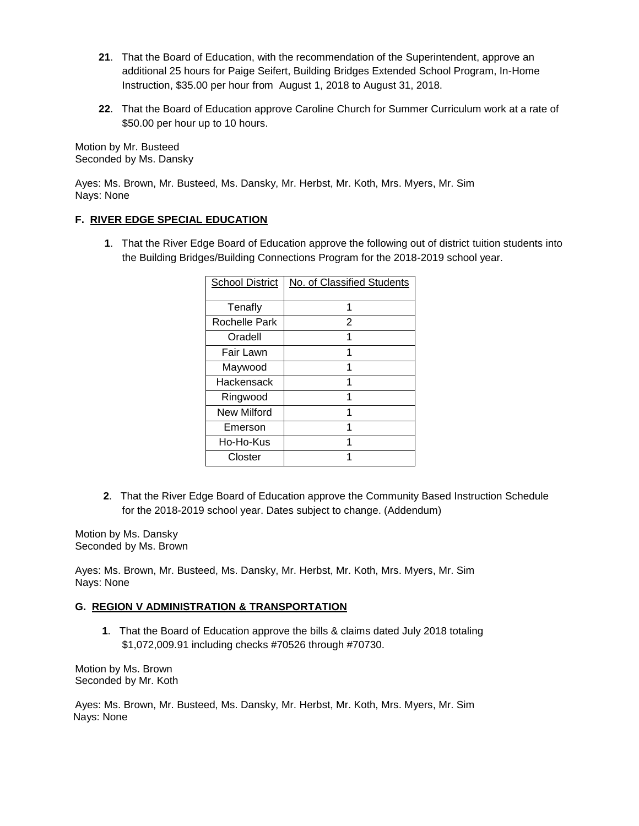- **21**. That the Board of Education, with the recommendation of the Superintendent, approve an additional 25 hours for Paige Seifert, Building Bridges Extended School Program, In-Home Instruction, \$35.00 per hour from August 1, 2018 to August 31, 2018.
- **22**. That the Board of Education approve Caroline Church for Summer Curriculum work at a rate of \$50.00 per hour up to 10 hours.

Motion by Mr. Busteed Seconded by Ms. Dansky

Ayes: Ms. Brown, Mr. Busteed, Ms. Dansky, Mr. Herbst, Mr. Koth, Mrs. Myers, Mr. Sim Nays: None

## **F. RIVER EDGE SPECIAL EDUCATION**

 **1**. That the River Edge Board of Education approve the following out of district tuition students into the Building Bridges/Building Connections Program for the 2018-2019 school year.

| <b>School District</b> | No. of Classified Students |
|------------------------|----------------------------|
| Tenafly                | 1                          |
| Rochelle Park          | $\overline{2}$             |
| Oradell                | 1                          |
| Fair Lawn              |                            |
| Maywood                |                            |
| Hackensack             |                            |
| Ringwood               |                            |
| New Milford            |                            |
| Emerson                |                            |
| Ho-Ho-Kus              |                            |
| Closter                |                            |

**2**. That the River Edge Board of Education approve the Community Based Instruction Schedule for the 2018-2019 school year. Dates subject to change. (Addendum)

Motion by Ms. Dansky Seconded by Ms. Brown

Ayes: Ms. Brown, Mr. Busteed, Ms. Dansky, Mr. Herbst, Mr. Koth, Mrs. Myers, Mr. Sim Nays: None

## **G. REGION V ADMINISTRATION & TRANSPORTATION**

 **1**. That the Board of Education approve the bills & claims dated July 2018 totaling \$1,072,009.91 including checks #70526 through #70730.

Motion by Ms. Brown Seconded by Mr. Koth

Ayes: Ms. Brown, Mr. Busteed, Ms. Dansky, Mr. Herbst, Mr. Koth, Mrs. Myers, Mr. Sim Nays: None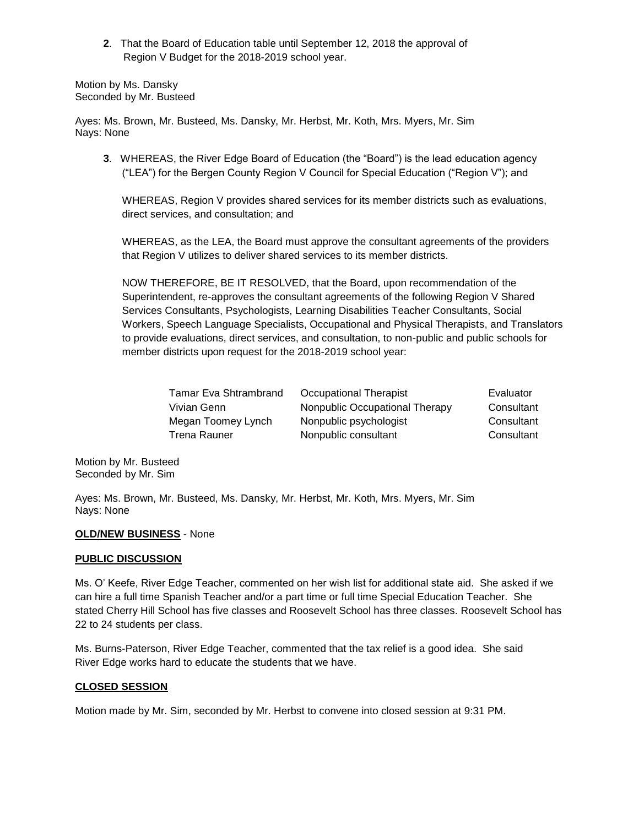**2**. That the Board of Education table until September 12, 2018 the approval of Region V Budget for the 2018-2019 school year.

Motion by Ms. Dansky Seconded by Mr. Busteed

Ayes: Ms. Brown, Mr. Busteed, Ms. Dansky, Mr. Herbst, Mr. Koth, Mrs. Myers, Mr. Sim Nays: None

**3**. WHEREAS, the River Edge Board of Education (the "Board") is the lead education agency ("LEA") for the Bergen County Region V Council for Special Education ("Region V"); and

WHEREAS, Region V provides shared services for its member districts such as evaluations, direct services, and consultation; and

WHEREAS, as the LEA, the Board must approve the consultant agreements of the providers that Region V utilizes to deliver shared services to its member districts.

NOW THEREFORE, BE IT RESOLVED, that the Board, upon recommendation of the Superintendent, re-approves the consultant agreements of the following Region V Shared Services Consultants, Psychologists, Learning Disabilities Teacher Consultants, Social Workers, Speech Language Specialists, Occupational and Physical Therapists, and Translators to provide evaluations, direct services, and consultation, to non-public and public schools for member districts upon request for the 2018-2019 school year:

| Occupational Therapist         | Evaluator  |
|--------------------------------|------------|
| Nonpublic Occupational Therapy | Consultant |
| Nonpublic psychologist         | Consultant |
| Nonpublic consultant           | Consultant |
|                                |            |

Motion by Mr. Busteed Seconded by Mr. Sim

Ayes: Ms. Brown, Mr. Busteed, Ms. Dansky, Mr. Herbst, Mr. Koth, Mrs. Myers, Mr. Sim Nays: None

### **OLD/NEW BUSINESS** - None

### **PUBLIC DISCUSSION**

Ms. O' Keefe, River Edge Teacher, commented on her wish list for additional state aid. She asked if we can hire a full time Spanish Teacher and/or a part time or full time Special Education Teacher. She stated Cherry Hill School has five classes and Roosevelt School has three classes. Roosevelt School has 22 to 24 students per class.

Ms. Burns-Paterson, River Edge Teacher, commented that the tax relief is a good idea. She said River Edge works hard to educate the students that we have.

### **CLOSED SESSION**

Motion made by Mr. Sim, seconded by Mr. Herbst to convene into closed session at 9:31 PM.